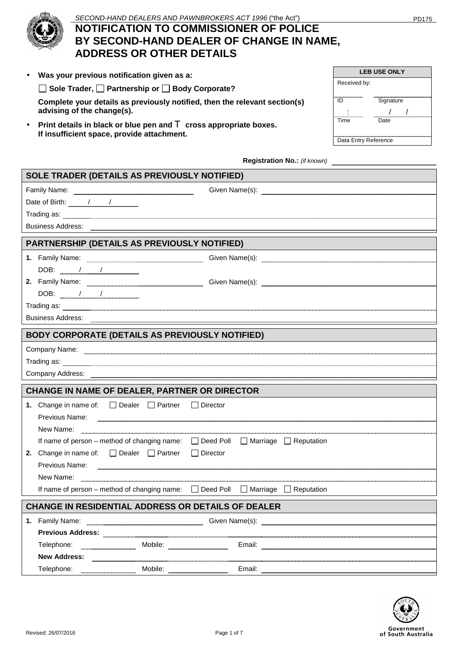

## SECOND-HAND DEALERS AND PAWNBROKERS ACT 1996 ("the Act") PD175

# **NOTIFICATION TO COMMISSIONER OF POLICE BY SECOND-HAND DEALER OF CHANGE IN NAME, ADDRESS OR OTHER DETAILS**

|  |  |  |  | Was your previous notification given as a: |  |  |
|--|--|--|--|--------------------------------------------|--|--|
|--|--|--|--|--------------------------------------------|--|--|

□ Sole Trader, □ Partnership or □ Body Corporate?

**Complete your details as previously notified, then the relevant section(s) advising of the change(s).** 

• **Print details in black or blue pen and** T **cross appropriate boxes. If insufficient space, provide attachment.** 

|                      | <b>LEB USE ONLY</b> |
|----------------------|---------------------|
| Received by:         |                     |
| ID                   | Signature           |
|                      |                     |
| Time                 | Date                |
|                      |                     |
| Data Entry Reference |                     |

**Registration No.:** *(if known)*

| SOLE TRADER (DETAILS AS PREVIOUSLY NOTIFIED)                                                                                                                                                                                        |            |                                                                                                                                                                                                                                          |
|-------------------------------------------------------------------------------------------------------------------------------------------------------------------------------------------------------------------------------------|------------|------------------------------------------------------------------------------------------------------------------------------------------------------------------------------------------------------------------------------------------|
| Family Name: www.waline.com/watch?com/watch?university/watch?university/                                                                                                                                                            |            |                                                                                                                                                                                                                                          |
|                                                                                                                                                                                                                                     |            |                                                                                                                                                                                                                                          |
|                                                                                                                                                                                                                                     |            |                                                                                                                                                                                                                                          |
|                                                                                                                                                                                                                                     |            |                                                                                                                                                                                                                                          |
| PARTNERSHIP (DETAILS AS PREVIOUSLY NOTIFIED)                                                                                                                                                                                        |            |                                                                                                                                                                                                                                          |
| 1. Family Name: www.communications.com                                                                                                                                                                                              |            |                                                                                                                                                                                                                                          |
| DOB: $\frac{1}{1}$                                                                                                                                                                                                                  |            |                                                                                                                                                                                                                                          |
|                                                                                                                                                                                                                                     |            |                                                                                                                                                                                                                                          |
| DOB: $\frac{1}{\sqrt{2\pi}}$                                                                                                                                                                                                        |            |                                                                                                                                                                                                                                          |
|                                                                                                                                                                                                                                     |            | Trading as:                                                                                                                                                                                                                              |
|                                                                                                                                                                                                                                     |            |                                                                                                                                                                                                                                          |
| <b>BODY CORPORATE (DETAILS AS PREVIOUSLY NOTIFIED)</b>                                                                                                                                                                              |            |                                                                                                                                                                                                                                          |
|                                                                                                                                                                                                                                     |            | Company Name: www.communications.com/                                                                                                                                                                                                    |
|                                                                                                                                                                                                                                     |            | Trading as:                                                                                                                                                                                                                              |
|                                                                                                                                                                                                                                     |            |                                                                                                                                                                                                                                          |
|                                                                                                                                                                                                                                     |            |                                                                                                                                                                                                                                          |
|                                                                                                                                                                                                                                     |            |                                                                                                                                                                                                                                          |
| CHANGE IN NAME OF DEALER, PARTNER OR DIRECTOR                                                                                                                                                                                       |            |                                                                                                                                                                                                                                          |
| 1. Change in name of: $\Box$ Dealer $\Box$ Partner $\Box$ Director                                                                                                                                                                  |            |                                                                                                                                                                                                                                          |
| Previous Name:                                                                                                                                                                                                                      |            |                                                                                                                                                                                                                                          |
| New Name: <u>Conserverse Communications</u> and the New Name: Conserverse Communications and the New York Conserverse Communications and the New York Conserverse Communications and the New York Conserverse Communications and th |            |                                                                                                                                                                                                                                          |
| If name of person – method of changing name: $\Box$ Deed Poll $\Box$ Marriage $\Box$ Reputation                                                                                                                                     |            |                                                                                                                                                                                                                                          |
| 2. Change in name of: $\Box$ Dealer $\Box$ Partner                                                                                                                                                                                  | □ Director |                                                                                                                                                                                                                                          |
| Previous Name: <u>December 2008</u>                                                                                                                                                                                                 |            |                                                                                                                                                                                                                                          |
| If name of person - method of changing name: □ Deed Poll □ Marriage □ Reputation                                                                                                                                                    |            |                                                                                                                                                                                                                                          |
|                                                                                                                                                                                                                                     |            |                                                                                                                                                                                                                                          |
| <b>CHANGE IN RESIDENTIAL ADDRESS OR DETAILS OF DEALER</b>                                                                                                                                                                           |            |                                                                                                                                                                                                                                          |
|                                                                                                                                                                                                                                     |            | 1. Family Name: <b>Example 2. Solution</b> Given Name(s): <b>Example 2. Solution</b> Family Name 2. Solution of the Second Street, and Second Street, and Second Street, and Second Street, and Second Street, and Second Street, and Se |
|                                                                                                                                                                                                                                     |            |                                                                                                                                                                                                                                          |
|                                                                                                                                                                                                                                     |            |                                                                                                                                                                                                                                          |
| <b>New Address:</b>                                                                                                                                                                                                                 |            |                                                                                                                                                                                                                                          |

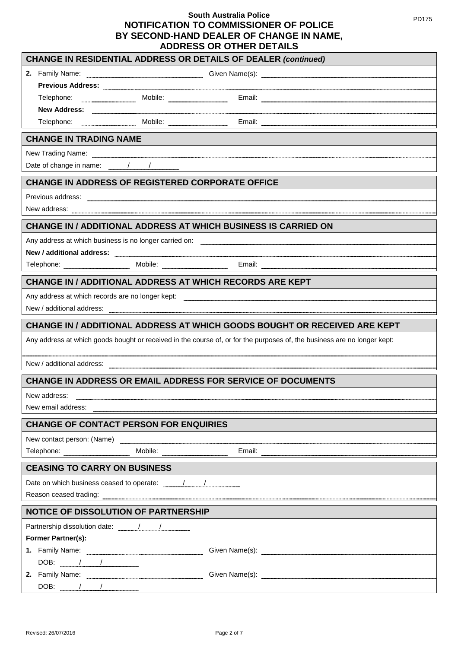| <b>CHANGE IN RESIDENTIAL ADDRESS OR DETAILS OF DEALER (continued)</b>                                                                                                                                                                                                                                                                        |
|----------------------------------------------------------------------------------------------------------------------------------------------------------------------------------------------------------------------------------------------------------------------------------------------------------------------------------------------|
| $\text{Given } \text{Name}(s): \newline \newline \text{________.}$<br>2.<br>Family Name:                                                                                                                                                                                                                                                     |
|                                                                                                                                                                                                                                                                                                                                              |
| Telephone: Mobile: Mobile: Email: Email: Email: Allephone: Email: Allephone: Allephone: Allephone: Allephone: Allephone: Allephone: Allephone: Allephone: Allephone: Allephone: Allephone: Allephone: Allephone: Allephone: Al                                                                                                               |
|                                                                                                                                                                                                                                                                                                                                              |
| Telephone: Mobile: Email: Email: Email: Email: Email: Email: Email: Email: Email: Email: Email: Email: Email: Email: Email: Email: Email: Email: Email: Email: Email: Email: Email: Email: Email: Email: Email: Email: Email:                                                                                                                |
| <b>CHANGE IN TRADING NAME</b>                                                                                                                                                                                                                                                                                                                |
| New Trading Name: www.communically.com/news/www.communically.com/news/www.communically.com/news/www.com/news/www.com/news/www.com/news/www.com/news/www.com/news/www.com/news/www.com/news/www.com/news/www.com/news/www.com/n                                                                                                               |
| Date of change in name: $\frac{1}{1}$ $\frac{1}{1}$ $\frac{1}{1}$ $\frac{1}{1}$ $\frac{1}{1}$ $\frac{1}{1}$ $\frac{1}{1}$ $\frac{1}{1}$ $\frac{1}{1}$ $\frac{1}{1}$ $\frac{1}{1}$ $\frac{1}{1}$ $\frac{1}{1}$ $\frac{1}{1}$ $\frac{1}{1}$ $\frac{1}{1}$ $\frac{1}{1}$ $\frac{1}{1}$ $\frac{1}{1}$ $\frac{1}{1$                               |
| <b>CHANGE IN ADDRESS OF REGISTERED CORPORATE OFFICE</b>                                                                                                                                                                                                                                                                                      |
| Previous address: entertainment and a series of the series of the series of the series of the series of the series of the series of the series of the series of the series of the series of the series of the series of the se                                                                                                               |
|                                                                                                                                                                                                                                                                                                                                              |
| <b>CHANGE IN / ADDITIONAL ADDRESS AT WHICH BUSINESS IS CARRIED ON</b>                                                                                                                                                                                                                                                                        |
|                                                                                                                                                                                                                                                                                                                                              |
|                                                                                                                                                                                                                                                                                                                                              |
|                                                                                                                                                                                                                                                                                                                                              |
| <b>CHANGE IN / ADDITIONAL ADDRESS AT WHICH RECORDS ARE KEPT</b>                                                                                                                                                                                                                                                                              |
|                                                                                                                                                                                                                                                                                                                                              |
|                                                                                                                                                                                                                                                                                                                                              |
| CHANGE IN / ADDITIONAL ADDRESS AT WHICH GOODS BOUGHT OR RECEIVED ARE KEPT                                                                                                                                                                                                                                                                    |
| Any address at which goods bought or received in the course of, or for the purposes of, the business are no longer kept:                                                                                                                                                                                                                     |
| New / additional address:                                                                                                                                                                                                                                                                                                                    |
| CHANGE IN ADDRESS OR EMAIL ADDRESS FOR SERVICE OF DOCUMENTS                                                                                                                                                                                                                                                                                  |
| New address:                                                                                                                                                                                                                                                                                                                                 |
| New email address:                                                                                                                                                                                                                                                                                                                           |
| <b>CHANGE OF CONTACT PERSON FOR ENQUIRIES</b>                                                                                                                                                                                                                                                                                                |
| New contact person: (Name) example and the contract of the contract of the contract person: (Name)                                                                                                                                                                                                                                           |
|                                                                                                                                                                                                                                                                                                                                              |
| <b>CEASING TO CARRY ON BUSINESS</b>                                                                                                                                                                                                                                                                                                          |
|                                                                                                                                                                                                                                                                                                                                              |
|                                                                                                                                                                                                                                                                                                                                              |
| <b>NOTICE OF DISSOLUTION OF PARTNERSHIP</b>                                                                                                                                                                                                                                                                                                  |
|                                                                                                                                                                                                                                                                                                                                              |
| Former Partner(s):                                                                                                                                                                                                                                                                                                                           |
| 1. Family Name: <u>Cambridge Communication</u> Given Name(s): Communication Communication Communication Communication                                                                                                                                                                                                                        |
| DOB: $\frac{1}{\sqrt{2}}$                                                                                                                                                                                                                                                                                                                    |
| 2. Family Name: 2008 2014 2022 2023 2024 2022 2022 2023 2024 2022 2023 2024 2022 2023 2024 2022 2023 2024 2022 2023 2024 2022 2023 2024 2022 2023 2024 2022 2023 2024 2022 2023 2024 2022 2023 2024 2022 2023 2024 2022 2023 2                                                                                                               |
| $\begin{picture}(180,10) \put(0,0){\line(1,0){100}} \put(15,0){\line(1,0){100}} \put(15,0){\line(1,0){100}} \put(15,0){\line(1,0){100}} \put(15,0){\line(1,0){100}} \put(15,0){\line(1,0){100}} \put(15,0){\line(1,0){100}} \put(15,0){\line(1,0){100}} \put(15,0){\line(1,0){100}} \put(15,0){\line(1,0){100}} \put(15,0){\line(1,0){100}}$ |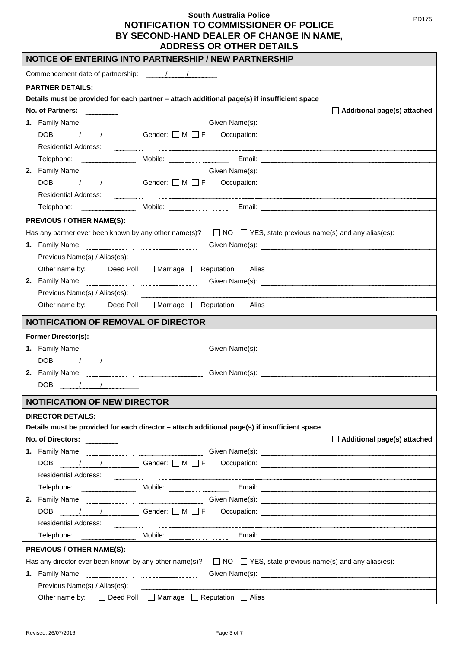| NOTICE OF ENTERING INTO PARTNERSHIP / NEW PARTNERSHIP                                                                                                                                                                                |
|--------------------------------------------------------------------------------------------------------------------------------------------------------------------------------------------------------------------------------------|
|                                                                                                                                                                                                                                      |
| <b>PARTNER DETAILS:</b>                                                                                                                                                                                                              |
| Details must be provided for each partner - attach additional page(s) if insufficient space                                                                                                                                          |
| No. of Partners:<br>$\Box$ Additional page(s) attached                                                                                                                                                                               |
| 1. Family Name: <u>Communication of Silven Name(s):</u> Civen Name(s):                                                                                                                                                               |
|                                                                                                                                                                                                                                      |
| Residential Address: <u>Communications</u> Constanting Constanting Constanting Constanting Constanting Constanting Constanting Constanting Constanting Constanting Constanting Constanting Constanting Constanting Constanting Cons  |
| Telephone: <u>Email: Email: Email: Email: Email: Email: Email: Email: Email: Email: Email: Email: Email: Email: Email: Email: Email: Email: Email: Email: Email: Email: Email: Email: Email: Email: Email: Email: Email: Email: </u> |
| 2. Family Name: <u>Conserver Communication</u> Given Name(s): Conserver Communication of the Communication of Communication Communication Communication Communication Communication Communication Communication Communication Commu  |
|                                                                                                                                                                                                                                      |
| <b>Residential Address:</b>                                                                                                                                                                                                          |
|                                                                                                                                                                                                                                      |
| <b>PREVIOUS / OTHER NAME(S):</b>                                                                                                                                                                                                     |
| Has any partner ever been known by any other name(s)? $\Box$ NO $\Box$ YES, state previous name(s) and any alias(es):                                                                                                                |
|                                                                                                                                                                                                                                      |
| Previous Name(s) / Alias(es):                                                                                                                                                                                                        |
| Other name by: □ Deed Poll □ Marriage □ Reputation □ Alias                                                                                                                                                                           |
| 2. Family Name: <u>www.warenumenum.com was series and Siven Name(s</u> ): www.warenumenum.com was series and the series of the series of the series of the series of the series of the series of the series of the series of the ser |
| Previous Name(s) / Alias(es):                                                                                                                                                                                                        |
| Other name by: $\Box$ Deed Poll $\Box$ Marriage $\Box$ Reputation $\Box$ Alias                                                                                                                                                       |
| <b>NOTIFICATION OF REMOVAL OF DIRECTOR</b>                                                                                                                                                                                           |
| <b>Former Director(s):</b>                                                                                                                                                                                                           |
|                                                                                                                                                                                                                                      |
| DOB: $\frac{1}{\sqrt{2}}$                                                                                                                                                                                                            |
| 2. Family Name: <u>Cambridge Communication</u> Given Name(s): Communication Communication Communication Communication Communication Communication Communication Communication Communication Communication Communication Communicati  |
|                                                                                                                                                                                                                                      |
| <b>NOTIFICATION OF NEW DIRECTOR</b>                                                                                                                                                                                                  |
| <b>DIRECTOR DETAILS:</b>                                                                                                                                                                                                             |
| Details must be provided for each director - attach additional page(s) if insufficient space                                                                                                                                         |
| No. of Directors:<br>$\Box$ Additional page(s) attached                                                                                                                                                                              |
| 1. Family Name: <u>www.www.www.www.www.www.www.www.www.</u> Given Name(s): www.www.www.www.www.www.www.ww.waka-androin-                                                                                                              |
|                                                                                                                                                                                                                                      |
| Residential Address: <u>Communication of the set of the set of the set of the set of the set of the set of the set of</u>                                                                                                            |
|                                                                                                                                                                                                                                      |
| 2. Family Name: <u>Cambridge Communication</u> Civen Name(s): Communication Communication Communication Communication                                                                                                                |
| DOB: $\mu$ / $\mu$ Gender: $\Box$ M $\Box$ F Occupation:                                                                                                                                                                             |
| <b>Residential Address:</b>                                                                                                                                                                                                          |
|                                                                                                                                                                                                                                      |
| <b>PREVIOUS / OTHER NAME(S):</b>                                                                                                                                                                                                     |
| Has any director ever been known by any other name(s)? $\Box$ NO $\Box$ YES, state previous name(s) and any alias(es):                                                                                                               |
| 1. Family Name: <u>Cambridge Communication</u> Given Name(s): Communication Communication Communication Communication                                                                                                                |
| Previous Name(s) / Alias(es):                                                                                                                                                                                                        |
| Other name by: $\Box$ Deed Poll $\Box$ Marriage $\Box$ Reputation $\Box$ Alias                                                                                                                                                       |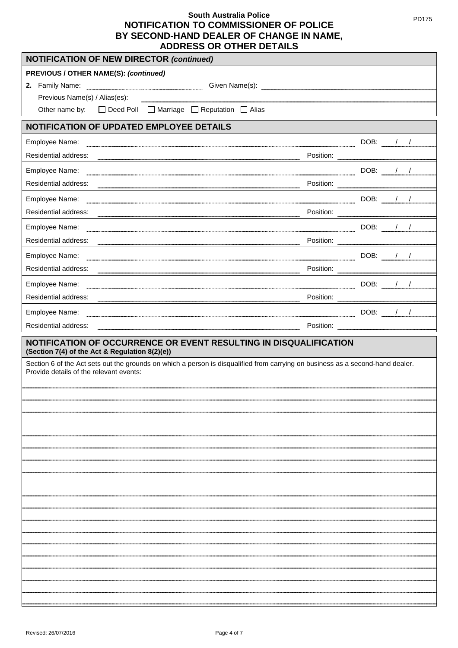| <b>NOTIFICATION OF NEW DIRECTOR (continued)</b>                                                                                                                           |  |  |                                           |
|---------------------------------------------------------------------------------------------------------------------------------------------------------------------------|--|--|-------------------------------------------|
| <b>PREVIOUS / OTHER NAME(S): (continued)</b>                                                                                                                              |  |  |                                           |
|                                                                                                                                                                           |  |  |                                           |
| Previous Name(s) / Alias(es):                                                                                                                                             |  |  |                                           |
| Other name by: □ Deed Poll □ Marriage □ Reputation □ Alias                                                                                                                |  |  |                                           |
| <b>NOTIFICATION OF UPDATED EMPLOYEE DETAILS</b>                                                                                                                           |  |  |                                           |
| Employee Name:                                                                                                                                                            |  |  | DOB: <u>_____________________________</u> |
|                                                                                                                                                                           |  |  |                                           |
| Employee Name:                                                                                                                                                            |  |  |                                           |
|                                                                                                                                                                           |  |  |                                           |
| Employee Name:                                                                                                                                                            |  |  |                                           |
| Residential address:                                                                                                                                                      |  |  |                                           |
| Employee Name:                                                                                                                                                            |  |  |                                           |
|                                                                                                                                                                           |  |  |                                           |
| Employee Name:                                                                                                                                                            |  |  |                                           |
|                                                                                                                                                                           |  |  |                                           |
| Employee Name:                                                                                                                                                            |  |  |                                           |
| Residential address:                                                                                                                                                      |  |  |                                           |
| Employee Name:                                                                                                                                                            |  |  |                                           |
|                                                                                                                                                                           |  |  |                                           |
| Residential address:                                                                                                                                                      |  |  |                                           |
| NOTIFICATION OF OCCURRENCE OR EVENT RESULTING IN DISQUALIFICATION<br>(Section 7(4) of the Act & Regulation 8(2)(e))                                                       |  |  |                                           |
| Section 6 of the Act sets out the grounds on which a person is disqualified from carrying on business as a second-hand dealer.<br>Provide details of the relevant events: |  |  |                                           |
|                                                                                                                                                                           |  |  |                                           |
|                                                                                                                                                                           |  |  |                                           |
|                                                                                                                                                                           |  |  |                                           |
|                                                                                                                                                                           |  |  |                                           |
|                                                                                                                                                                           |  |  |                                           |
|                                                                                                                                                                           |  |  |                                           |
|                                                                                                                                                                           |  |  |                                           |
|                                                                                                                                                                           |  |  |                                           |
|                                                                                                                                                                           |  |  |                                           |
|                                                                                                                                                                           |  |  |                                           |
|                                                                                                                                                                           |  |  |                                           |
|                                                                                                                                                                           |  |  |                                           |
|                                                                                                                                                                           |  |  |                                           |
|                                                                                                                                                                           |  |  |                                           |
|                                                                                                                                                                           |  |  |                                           |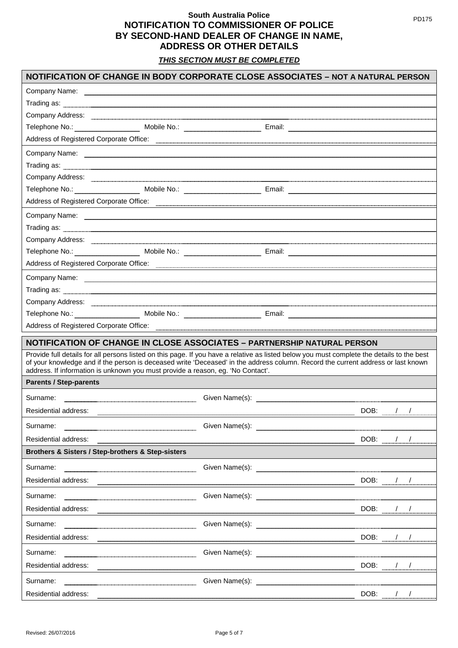*THIS SECTION MUST BE COMPLETED*

|                                                                                                                                                                                                                                      |                                                                                                                                                                                                                                | NOTIFICATION OF CHANGE IN BODY CORPORATE CLOSE ASSOCIATES - NOT A NATURAL PERSON                                                                                                                                                                                               |
|--------------------------------------------------------------------------------------------------------------------------------------------------------------------------------------------------------------------------------------|--------------------------------------------------------------------------------------------------------------------------------------------------------------------------------------------------------------------------------|--------------------------------------------------------------------------------------------------------------------------------------------------------------------------------------------------------------------------------------------------------------------------------|
|                                                                                                                                                                                                                                      |                                                                                                                                                                                                                                |                                                                                                                                                                                                                                                                                |
| Trading as: www.communication.com/www.communications.com/www.communications.com/www.communications.com/www.com                                                                                                                       |                                                                                                                                                                                                                                |                                                                                                                                                                                                                                                                                |
|                                                                                                                                                                                                                                      |                                                                                                                                                                                                                                |                                                                                                                                                                                                                                                                                |
|                                                                                                                                                                                                                                      |                                                                                                                                                                                                                                |                                                                                                                                                                                                                                                                                |
|                                                                                                                                                                                                                                      |                                                                                                                                                                                                                                | Address of Registered Corporate Office: <u>Community Community Community Community Community Community Community</u>                                                                                                                                                           |
|                                                                                                                                                                                                                                      |                                                                                                                                                                                                                                |                                                                                                                                                                                                                                                                                |
|                                                                                                                                                                                                                                      |                                                                                                                                                                                                                                |                                                                                                                                                                                                                                                                                |
|                                                                                                                                                                                                                                      |                                                                                                                                                                                                                                |                                                                                                                                                                                                                                                                                |
| Telephone No.: Mobile No.: Mobile No.: Email: Email: Email: Email: Email: Email: Email: Email: Email: Email: Email: Email: Email: Email: Email: Email: Email: Email: Email: Email: Email: Email: Email: Email: Email: Email: E       |                                                                                                                                                                                                                                |                                                                                                                                                                                                                                                                                |
| Address of Registered Corporate Office: <b>Call Address of Registered Corporate Office: Call Address of Registered Corporate Office:</b>                                                                                             |                                                                                                                                                                                                                                |                                                                                                                                                                                                                                                                                |
|                                                                                                                                                                                                                                      |                                                                                                                                                                                                                                |                                                                                                                                                                                                                                                                                |
|                                                                                                                                                                                                                                      |                                                                                                                                                                                                                                |                                                                                                                                                                                                                                                                                |
|                                                                                                                                                                                                                                      |                                                                                                                                                                                                                                |                                                                                                                                                                                                                                                                                |
|                                                                                                                                                                                                                                      |                                                                                                                                                                                                                                |                                                                                                                                                                                                                                                                                |
|                                                                                                                                                                                                                                      |                                                                                                                                                                                                                                | Address of Registered Corporate Office: <u>entitled to the entitled of the set of Registered Corporate Office:</u>                                                                                                                                                             |
|                                                                                                                                                                                                                                      |                                                                                                                                                                                                                                |                                                                                                                                                                                                                                                                                |
| Trading as: <b>contract to the contract of the contract of the contract of the contract of the contract of the contract of the contract of the contract of the contract of the contract of the contract of the contract of the c</b> |                                                                                                                                                                                                                                |                                                                                                                                                                                                                                                                                |
|                                                                                                                                                                                                                                      |                                                                                                                                                                                                                                | Company Address: <u>experimental company of the set of the set of the set of the set of the set of the set of the set of the set of the set of the set of the set of the set of the set of the set of the set of the set of the </u>                                           |
|                                                                                                                                                                                                                                      |                                                                                                                                                                                                                                |                                                                                                                                                                                                                                                                                |
| Address of Registered Corporate Office: <b>Communicate Communicate Contract Constant Constant Constant Constant Constant Constant Constant Constant Constant Constant Constant Constant Constant Constant Constant Constant Cons</b> |                                                                                                                                                                                                                                |                                                                                                                                                                                                                                                                                |
|                                                                                                                                                                                                                                      |                                                                                                                                                                                                                                |                                                                                                                                                                                                                                                                                |
| NOTIFICATION OF CHANGE IN CLOSE ASSOCIATES - PARTNERSHIP NATURAL PERSON                                                                                                                                                              |                                                                                                                                                                                                                                |                                                                                                                                                                                                                                                                                |
|                                                                                                                                                                                                                                      |                                                                                                                                                                                                                                | Provide full details for all persons listed on this page. If you have a relative as listed below you must complete the details to the best<br>of your knowledge and if the person is deceased write 'Deceased' in the address column. Record the current address or last known |
| address. If information is unknown you must provide a reason, eg. 'No Contact'.<br><b>Parents / Step-parents</b>                                                                                                                     |                                                                                                                                                                                                                                |                                                                                                                                                                                                                                                                                |
| Surname:                                                                                                                                                                                                                             |                                                                                                                                                                                                                                |                                                                                                                                                                                                                                                                                |
| Residential address:                                                                                                                                                                                                                 |                                                                                                                                                                                                                                | DOB:<br>$\sqrt{ }$                                                                                                                                                                                                                                                             |
|                                                                                                                                                                                                                                      |                                                                                                                                                                                                                                |                                                                                                                                                                                                                                                                                |
| Surname:<br><b>Residential address:</b>                                                                                                                                                                                              | Given Name(s): The Contract of the Contract of the Contract of the Contract of Contract of Contract of Contract of Contract of Contract of Contract of Contract of Contract of Contract of Contract of Contract of Contract of |                                                                                                                                                                                                                                                                                |
|                                                                                                                                                                                                                                      |                                                                                                                                                                                                                                | DOB: / /                                                                                                                                                                                                                                                                       |
| Brothers & Sisters / Step-brothers & Step-sisters                                                                                                                                                                                    |                                                                                                                                                                                                                                |                                                                                                                                                                                                                                                                                |
| Surname:                                                                                                                                                                                                                             |                                                                                                                                                                                                                                |                                                                                                                                                                                                                                                                                |
| Residential address:                                                                                                                                                                                                                 |                                                                                                                                                                                                                                | DOB:                                                                                                                                                                                                                                                                           |
| Surname:                                                                                                                                                                                                                             |                                                                                                                                                                                                                                |                                                                                                                                                                                                                                                                                |
| Residential address:                                                                                                                                                                                                                 | and the contract of the contract of the contract of the contract of the contract of the contract of the contract of the contract of the contract of the contract of the contract of the contract of the contract of the contra |                                                                                                                                                                                                                                                                                |
| Surname:                                                                                                                                                                                                                             |                                                                                                                                                                                                                                |                                                                                                                                                                                                                                                                                |
| Residential address:                                                                                                                                                                                                                 |                                                                                                                                                                                                                                | DOB: / /                                                                                                                                                                                                                                                                       |
| Surname:                                                                                                                                                                                                                             |                                                                                                                                                                                                                                |                                                                                                                                                                                                                                                                                |
| Residential address:                                                                                                                                                                                                                 |                                                                                                                                                                                                                                | DOB: / /                                                                                                                                                                                                                                                                       |
| Surname:                                                                                                                                                                                                                             |                                                                                                                                                                                                                                |                                                                                                                                                                                                                                                                                |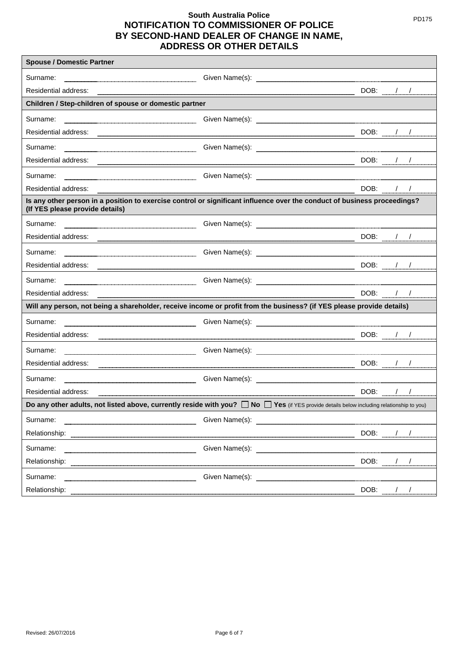| <b>Spouse / Domestic Partner</b>                                                                                                                                                                                               |                                                                                                                                                                                                                                      |                           |  |          |
|--------------------------------------------------------------------------------------------------------------------------------------------------------------------------------------------------------------------------------|--------------------------------------------------------------------------------------------------------------------------------------------------------------------------------------------------------------------------------------|---------------------------|--|----------|
| Surname:                                                                                                                                                                                                                       |                                                                                                                                                                                                                                      |                           |  |          |
| Residential address:                                                                                                                                                                                                           |                                                                                                                                                                                                                                      |                           |  | DOB: / / |
| Children / Step-children of spouse or domestic partner                                                                                                                                                                         |                                                                                                                                                                                                                                      |                           |  |          |
| Surname:                                                                                                                                                                                                                       |                                                                                                                                                                                                                                      |                           |  |          |
| Residential address:                                                                                                                                                                                                           | <u> 1999 - Johann Stoff, deutscher Stoffen und der Stoffen und der Stoffen und der Stoffen und der Stoffen und der Stoffen und der Stoffen und der Stoffen und der Stoffen und der Stoffen und der Stoffen und der Stoffen und d</u> | DOB: / /                  |  |          |
| Surname:                                                                                                                                                                                                                       |                                                                                                                                                                                                                                      |                           |  |          |
| Residential address:                                                                                                                                                                                                           |                                                                                                                                                                                                                                      |                           |  |          |
| Surname:                                                                                                                                                                                                                       |                                                                                                                                                                                                                                      |                           |  |          |
| Residential address:                                                                                                                                                                                                           |                                                                                                                                                                                                                                      | DOB: / /                  |  |          |
| Is any other person in a position to exercise control or significant influence over the conduct of business proceedings?<br>(If YES please provide details)                                                                    |                                                                                                                                                                                                                                      |                           |  |          |
| Surname:                                                                                                                                                                                                                       |                                                                                                                                                                                                                                      |                           |  |          |
|                                                                                                                                                                                                                                |                                                                                                                                                                                                                                      |                           |  | DOB: / / |
| Surname:                                                                                                                                                                                                                       |                                                                                                                                                                                                                                      |                           |  |          |
| Residential address: 2000 Contract Contract Contract Contract Contract Contract Contract Contract Contract Contract Contract Contract Contract Contract Contract Contract Contract Contract Contract Contract Contract Contrac |                                                                                                                                                                                                                                      | $DOB:$ $1/$               |  |          |
| Surname:                                                                                                                                                                                                                       |                                                                                                                                                                                                                                      |                           |  |          |
| Residential address:                                                                                                                                                                                                           |                                                                                                                                                                                                                                      | $DOB:$ $/$ $/$            |  |          |
| Will any person, not being a shareholder, receive income or profit from the business? (if YES please provide details)                                                                                                          |                                                                                                                                                                                                                                      |                           |  |          |
| Surname:                                                                                                                                                                                                                       |                                                                                                                                                                                                                                      |                           |  |          |
| Residential address:                                                                                                                                                                                                           |                                                                                                                                                                                                                                      |                           |  | DOB: / / |
| Surname:                                                                                                                                                                                                                       |                                                                                                                                                                                                                                      |                           |  |          |
| Residential address:                                                                                                                                                                                                           |                                                                                                                                                                                                                                      |                           |  |          |
| Surname:                                                                                                                                                                                                                       |                                                                                                                                                                                                                                      |                           |  |          |
| Residential address:                                                                                                                                                                                                           |                                                                                                                                                                                                                                      | DOB: $\frac{1}{\sqrt{2}}$ |  |          |
| Do any other adults, not listed above, currently reside with you? $\Box$ No $\Box$ Yes (if YES provide details below including relationship to you)                                                                            |                                                                                                                                                                                                                                      |                           |  |          |
| Surname:                                                                                                                                                                                                                       |                                                                                                                                                                                                                                      |                           |  |          |
| Relationship:                                                                                                                                                                                                                  |                                                                                                                                                                                                                                      | DOB: $\frac{1}{2}$        |  |          |
| Surname:                                                                                                                                                                                                                       |                                                                                                                                                                                                                                      |                           |  |          |
| Relationship:                                                                                                                                                                                                                  |                                                                                                                                                                                                                                      | DOB: $\frac{1}{2}$        |  |          |
| Surname:                                                                                                                                                                                                                       | Given Name(s):                                                                                                                                                                                                                       |                           |  |          |
| Relationship:                                                                                                                                                                                                                  |                                                                                                                                                                                                                                      | DOB: //                   |  |          |